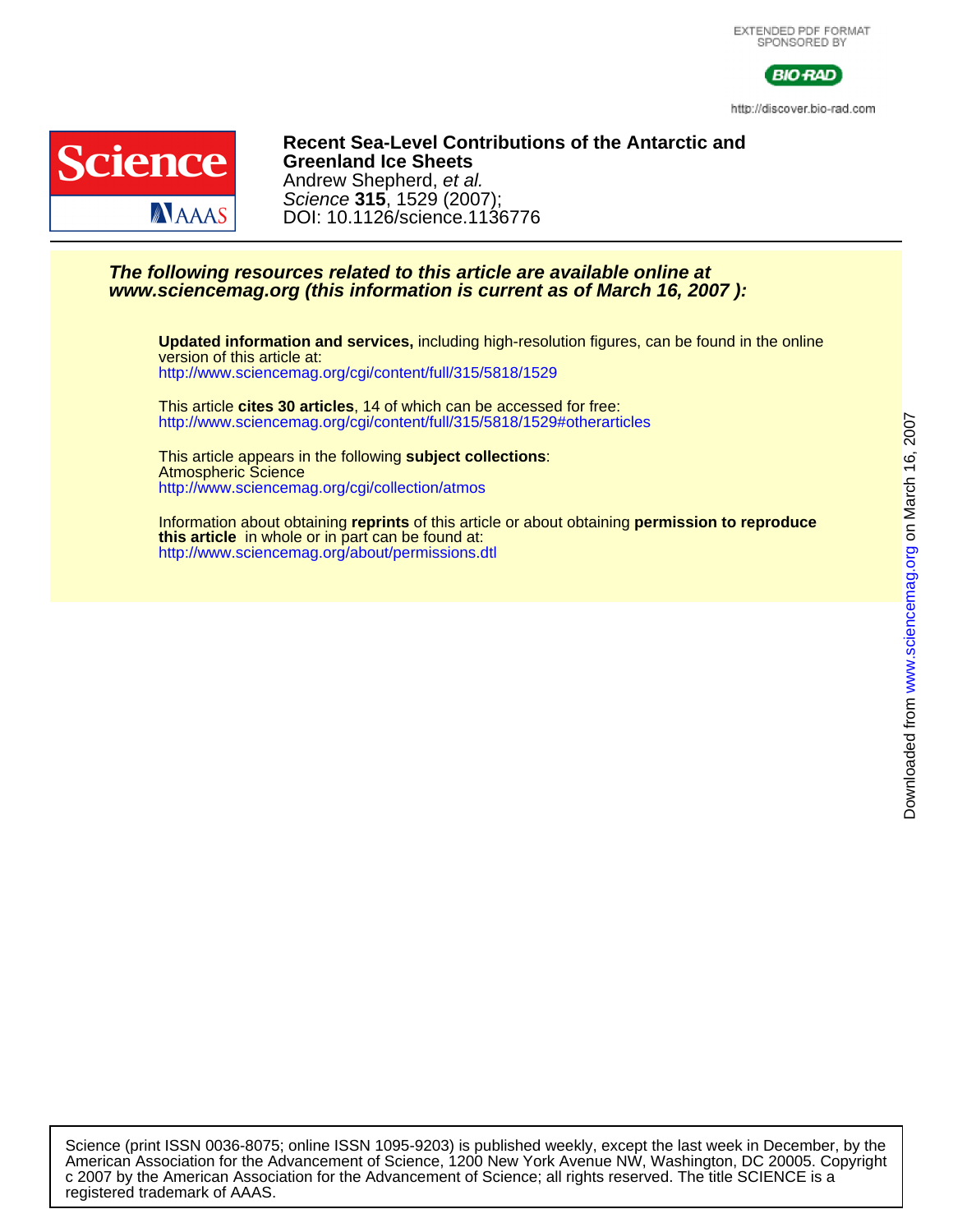

http://discover.bio-rad.com



#### DOI: 10.1126/science.1136776 Science **315**, 1529 (2007); Andrew Shepherd, et al. **Greenland Ice Sheets Recent Sea-Level Contributions of the Antarctic and**

#### **www.sciencemag.org (this information is current as of March 16, 2007 ): The following resources related to this article are available online at**

<http://www.sciencemag.org/cgi/content/full/315/5818/1529> version of this article at: **Updated information and services,** including high-resolution figures, can be found in the online

<http://www.sciencemag.org/cgi/content/full/315/5818/1529#otherarticles> This article **cites 30 articles**, 14 of which can be accessed for free:

<http://www.sciencemag.org/cgi/collection/atmos> Atmospheric Science This article appears in the following **subject collections**:

<http://www.sciencemag.org/about/permissions.dtl> **this article** in whole or in part can be found at: Information about obtaining **reprints** of this article or about obtaining **permission to reproduce**

registered trademark of AAAS. c 2007 by the American Association for the Advancement of Science; all rights reserved. The title SCIENCE is a American Association for the Advancement of Science, 1200 New York Avenue NW, Washington, DC 20005. Copyright Science (print ISSN 0036-8075; online ISSN 1095-9203) is published weekly, except the last week in December, by the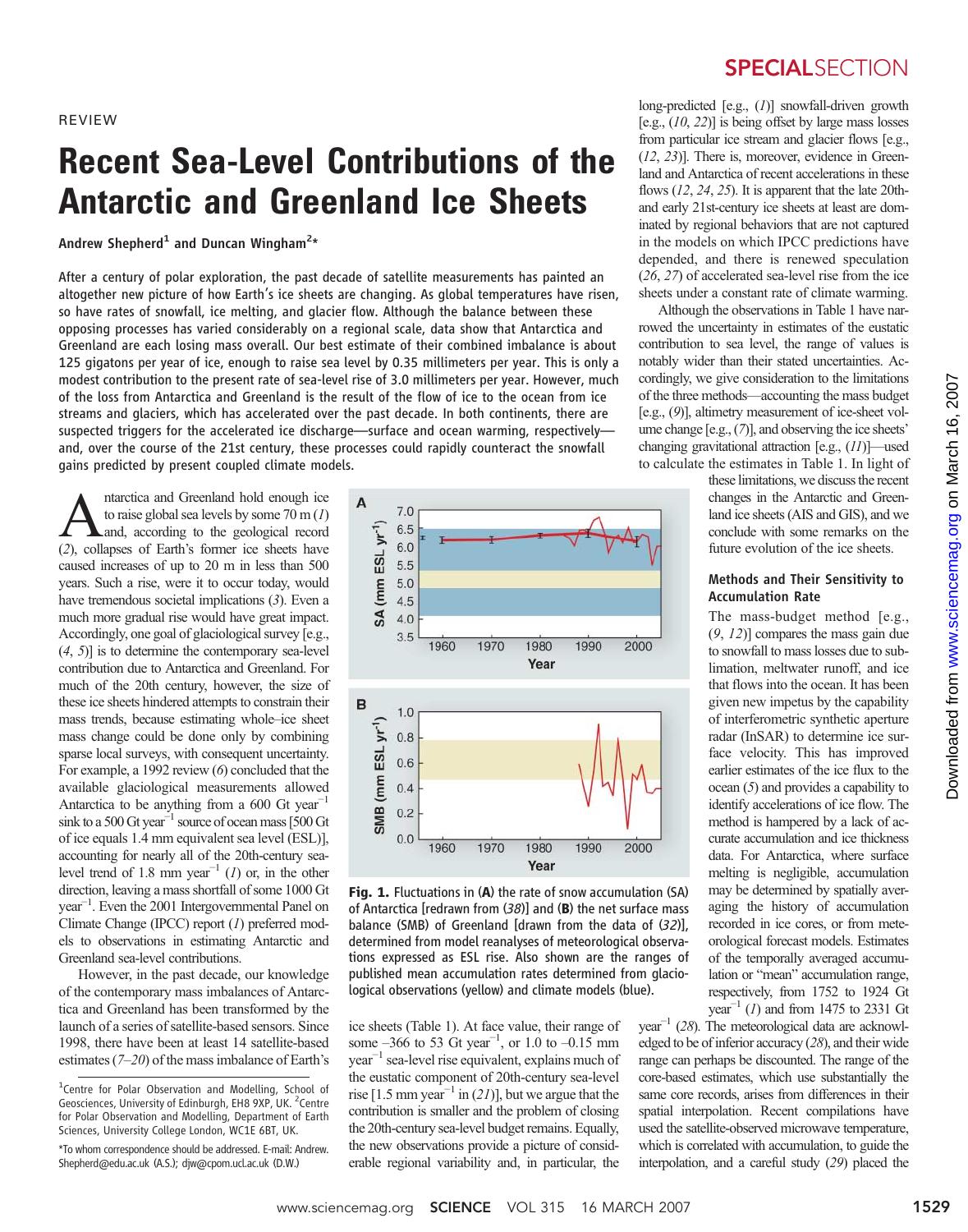REVIEW

# Recent Sea-Level Contributions of the Antarctic and Greenland Ice Sheets

Andrew Shepherd $^1$  and Duncan Wingham $^{2\star}$ 

After a century of polar exploration, the past decade of satellite measurements has painted an altogether new picture of how Earth's ice sheets are changing. As global temperatures have risen, so have rates of snowfall, ice melting, and glacier flow. Although the balance between these opposing processes has varied considerably on a regional scale, data show that Antarctica and Greenland are each losing mass overall. Our best estimate of their combined imbalance is about 125 gigatons per year of ice, enough to raise sea level by 0.35 millimeters per year. This is only a modest contribution to the present rate of sea-level rise of 3.0 millimeters per year. However, much of the loss from Antarctica and Greenland is the result of the flow of ice to the ocean from ice streams and glaciers, which has accelerated over the past decade. In both continents, there are suspected triggers for the accelerated ice discharge—surface and ocean warming, respectively and, over the course of the 21st century, these processes could rapidly counteract the snowfall gains predicted by present coupled climate models.

**A** natrotica and Greenland hold enough ice<br>to raise global sea levels by some 70 m (1)<br>and, according to the geological record<br>(2) collanses of Earth's former ice sheets have to raise global sea levels by some  $70 \text{ m} (1)$ (2), collapses of Earth's former ice sheets have caused increases of up to 20 m in less than 500 years. Such a rise, were it to occur today, would have tremendous societal implications (3). Even a much more gradual rise would have great impact. Accordingly, one goal of glaciological survey [e.g.,  $(4, 5)$ ] is to determine the contemporary sea-level contribution due to Antarctica and Greenland. For much of the 20th century, however, the size of these ice sheets hindered attempts to constrain their mass trends, because estimating whole–ice sheet mass change could be done only by combining sparse local surveys, with consequent uncertainty. For example, a 1992 review (6) concluded that the available glaciological measurements allowed Antarctica to be anything from a 600 Gt year<sup>-1</sup> sink to a 500 Gt year<sup>-1</sup> source of ocean mass [500 Gt of ice equals 1.4 mm equivalent sea level (ESL)], accounting for nearly all of the 20th-century sealevel trend of 1.8 mm year<sup>-1</sup> (1) or, in the other direction, leaving a mass shortfall of some 1000 Gt year−<sup>1</sup> . Even the 2001 Intergovernmental Panel on Climate Change (IPCC) report (1) preferred models to observations in estimating Antarctic and Greenland sea-level contributions.

However, in the past decade, our knowledge of the contemporary mass imbalances of Antarctica and Greenland has been transformed by the launch of a series of satellite-based sensors. Since 1998, there have been at least 14 satellite-based estimates (7–20) of the mass imbalance of Earth's

\*To whom correspondence should be addressed. E-mail: Andrew. Shepherd@edu.ac.uk (A.S.); djw@cpom.ucl.ac.uk (D.W.)



Fig. 1. Fluctuations in (A) the rate of snow accumulation (SA) of Antarctica [redrawn from  $(38)$ ] and  $(B)$  the net surface mass balance (SMB) of Greenland [drawn from the data of (32)], determined from model reanalyses of meteorological observations expressed as ESL rise. Also shown are the ranges of published mean accumulation rates determined from glaciological observations (yellow) and climate models (blue).

ice sheets (Table 1). At face value, their range of some  $-366$  to 53 Gt year<sup>-1</sup>, or 1.0 to  $-0.15$  mm year−<sup>1</sup> sea-level rise equivalent, explains much of the eustatic component of 20th-century sea-level rise [1.5 mm year<sup>-1</sup> in (21)], but we argue that the contribution is smaller and the problem of closing the 20th-century sea-level budget remains. Equally, the new observations provide a picture of considerable regional variability and, in particular, the

### **SPECIALSECTION**

long-predicted [e.g., (1)] snowfall-driven growth [e.g.,  $(10, 22)$ ] is being offset by large mass losses from particular ice stream and glacier flows [e.g., (12, 23)]. There is, moreover, evidence in Greenland and Antarctica of recent accelerations in these flows  $(12, 24, 25)$ . It is apparent that the late 20thand early 21st-century ice sheets at least are dominated by regional behaviors that are not captured in the models on which IPCC predictions have depended, and there is renewed speculation (26, 27) of accelerated sea-level rise from the ice sheets under a constant rate of climate warming.

Although the observations in Table 1 have narrowed the uncertainty in estimates of the eustatic contribution to sea level, the range of values is notably wider than their stated uncertainties. Accordingly, we give consideration to the limitations of the three methods—accounting the mass budget [e.g., (9)], altimetry measurement of ice-sheet volume change [e.g., (7)], and observing the ice sheets' changing gravitational attraction [e.g., (11)]—used to calculate the estimates in Table 1. In light of

> these limitations, we discuss the recent changes in the Antarctic and Greenland ice sheets (AIS and GIS), and we conclude with some remarks on the future evolution of the ice sheets.

#### Methods and Their Sensitivity to Accumulation Rate

The mass-budget method [e.g., (9, 12)] compares the mass gain due to snowfall to mass losses due to sublimation, meltwater runoff, and ice that flows into the ocean. It has been given new impetus by the capability of interferometric synthetic aperture radar (InSAR) to determine ice surface velocity. This has improved earlier estimates of the ice flux to the ocean (5) and provides a capability to identify accelerations of ice flow. The method is hampered by a lack of accurate accumulation and ice thickness data. For Antarctica, where surface melting is negligible, accumulation may be determined by spatially averaging the history of accumulation recorded in ice cores, or from meteorological forecast models. Estimates of the temporally averaged accumulation or "mean" accumulation range, respectively, from 1752 to 1924 Gt year<sup>-1</sup> (1) and from 1475 to 2331 Gt

year<sup> $-1$ </sup> (28). The meteorological data are acknowledged to be of inferior accuracy (28), and their wide range can perhaps be discounted. The range of the core-based estimates, which use substantially the same core records, arises from differences in their spatial interpolation. Recent compilations have used the satellite-observed microwave temperature, which is correlated with accumulation, to guide the interpolation, and a careful study (29) placed the

<sup>&</sup>lt;sup>1</sup>Centre for Polar Observation and Modelling, School of Geosciences, University of Edinburgh, EH8 9XP, UK. <sup>2</sup>Centre for Polar Observation and Modelling, Department of Earth Sciences, University College London, WC1E 6BT, UK.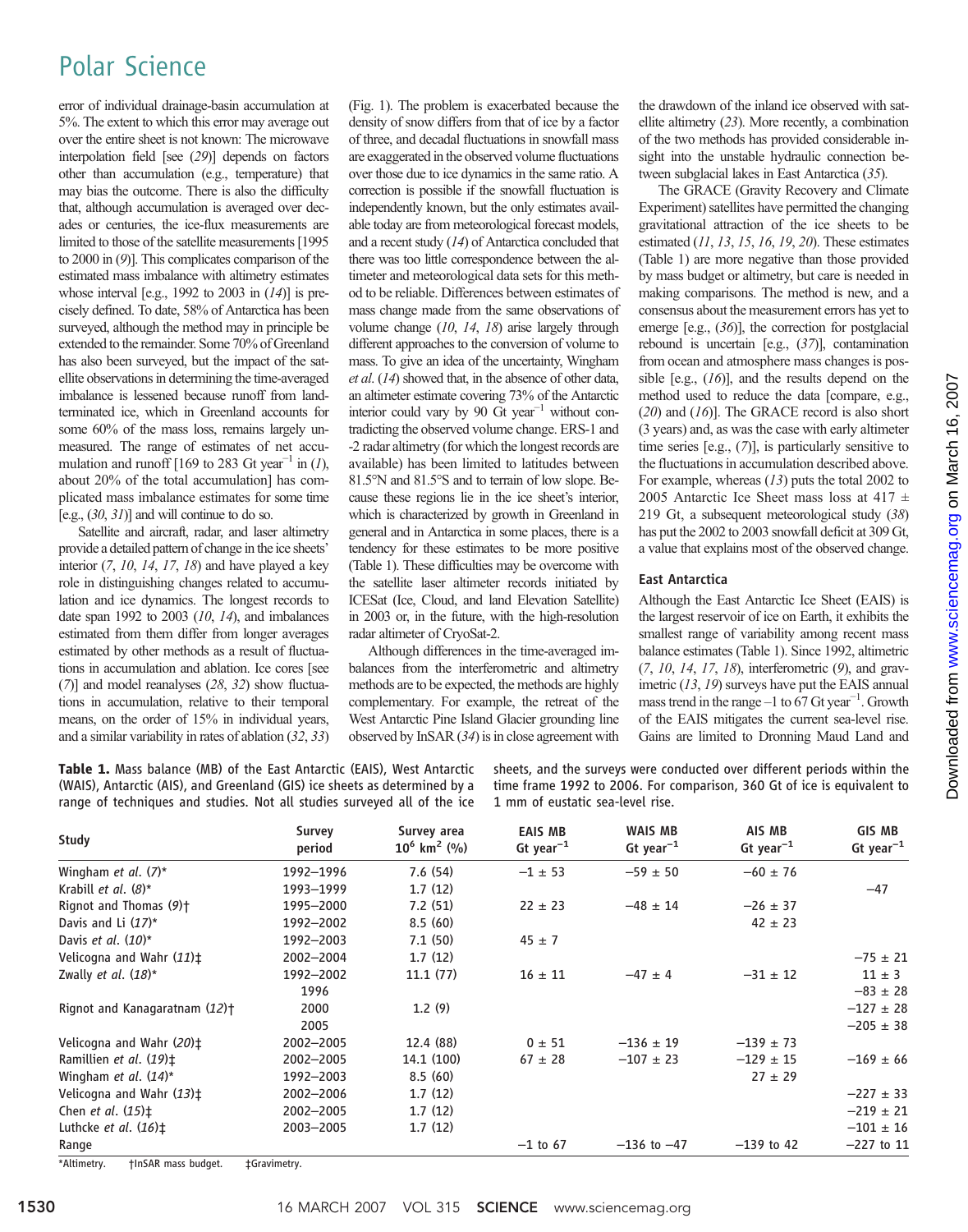## Polar Science

error of individual drainage-basin accumulation at 5%. The extent to which this error may average out over the entire sheet is not known: The microwave interpolation field [see (29)] depends on factors other than accumulation (e.g., temperature) that may bias the outcome. There is also the difficulty that, although accumulation is averaged over decades or centuries, the ice-flux measurements are limited to those of the satellite measurements [1995 to 2000 in (9)]. This complicates comparison of the estimated mass imbalance with altimetry estimates whose interval [e.g., 1992 to 2003 in  $(14)$ ] is precisely defined. To date, 58% of Antarctica has been surveyed, although the method may in principle be extended to the remainder. Some 70% of Greenland has also been surveyed, but the impact of the satellite observations in determining the time-averaged imbalance is lessened because runoff from landterminated ice, which in Greenland accounts for some 60% of the mass loss, remains largely unmeasured. The range of estimates of net accumulation and runoff [169 to 283 Gt year<sup>-1</sup> in (1), about 20% of the total accumulation] has complicated mass imbalance estimates for some time [e.g.,  $(30, 31)$ ] and will continue to do so.

Satellite and aircraft, radar, and laser altimetry provide a detailed pattern of change in the ice sheets' interior  $(7, 10, 14, 17, 18)$  and have played a key role in distinguishing changes related to accumulation and ice dynamics. The longest records to date span 1992 to 2003  $(10, 14)$ , and imbalances estimated from them differ from longer averages estimated by other methods as a result of fluctuations in accumulation and ablation. Ice cores [see (7)] and model reanalyses (28, 32) show fluctuations in accumulation, relative to their temporal means, on the order of 15% in individual years, and a similar variability in rates of ablation (32, 33)

(Fig. 1). The problem is exacerbated because the density of snow differs from that of ice by a factor of three, and decadal fluctuations in snowfall mass are exaggerated in the observed volume fluctuations over those due to ice dynamics in the same ratio. A correction is possible if the snowfall fluctuation is independently known, but the only estimates available today are from meteorological forecast models, and a recent study (14) of Antarctica concluded that there was too little correspondence between the altimeter and meteorological data sets for this method to be reliable. Differences between estimates of mass change made from the same observations of volume change (10, 14, 18) arise largely through different approaches to the conversion of volume to mass. To give an idea of the uncertainty, Wingham et al. (14) showed that, in the absence of other data, an altimeter estimate covering 73% of the Antarctic interior could vary by 90 Gt year<sup> $-1$ </sup> without contradicting the observed volume change. ERS-1 and -2 radar altimetry (for which the longest records are available) has been limited to latitudes between 81.5°N and 81.5°S and to terrain of low slope. Because these regions lie in the ice sheet's interior, which is characterized by growth in Greenland in general and in Antarctica in some places, there is a tendency for these estimates to be more positive (Table 1). These difficulties may be overcome with the satellite laser altimeter records initiated by ICESat (Ice, Cloud, and land Elevation Satellite) in 2003 or, in the future, with the high-resolution radar altimeter of CryoSat-2.

Although differences in the time-averaged imbalances from the interferometric and altimetry methods are to be expected, the methods are highly complementary. For example, the retreat of the West Antarctic Pine Island Glacier grounding line observed by InSAR (34) is in close agreement with the drawdown of the inland ice observed with satellite altimetry (23). More recently, a combination of the two methods has provided considerable insight into the unstable hydraulic connection between subglacial lakes in East Antarctica (35).

The GRACE (Gravity Recovery and Climate Experiment) satellites have permitted the changing gravitational attraction of the ice sheets to be estimated  $(11, 13, 15, 16, 19, 20)$ . These estimates (Table 1) are more negative than those provided by mass budget or altimetry, but care is needed in making comparisons. The method is new, and a consensus about the measurement errors has yet to emerge [e.g., (36)], the correction for postglacial rebound is uncertain [e.g., (37)], contamination from ocean and atmosphere mass changes is possible [e.g.,  $(16)$ ], and the results depend on the method used to reduce the data [compare, e.g.,  $(20)$  and  $(16)$ ]. The GRACE record is also short (3 years) and, as was the case with early altimeter time series [e.g., (7)], is particularly sensitive to the fluctuations in accumulation described above. For example, whereas (13) puts the total 2002 to 2005 Antarctic Ice Sheet mass loss at  $417 \pm$ 219 Gt, a subsequent meteorological study (38) has put the 2002 to 2003 snowfall deficit at 309 Gt, a value that explains most of the observed change.

#### East Antarctica

Although the East Antarctic Ice Sheet (EAIS) is the largest reservoir of ice on Earth, it exhibits the smallest range of variability among recent mass balance estimates (Table 1). Since 1992, altimetric  $(7, 10, 14, 17, 18)$ , interferometric  $(9)$ , and gravimetric (13, 19) surveys have put the EAIS annual mass trend in the range  $-1$  to 67 Gt year<sup>-1</sup>. Growth of the EAIS mitigates the current sea-level rise. Gains are limited to Dronning Maud Land and

Table 1. Mass balance (MB) of the East Antarctic (EAIS), West Antarctic (WAIS), Antarctic (AIS), and Greenland (GIS) ice sheets as determined by a range of techniques and studies. Not all studies surveyed all of the ice

sheets, and the surveys were conducted over different periods within the time frame 1992 to 2006. For comparison, 360 Gt of ice is equivalent to 1 mm of eustatic sea-level rise.

| Study                                                    | Survey<br>period | Survey area<br>$10^6$ km <sup>2</sup> (%) | <b>EAIS MB</b><br>Gt year <sup>-1</sup> | WAIS MB<br>Gt year <sup>-1</sup> | AIS MB<br>Gt year <sup>-1</sup> | <b>GIS MB</b><br>$Gt$ year <sup>-1</sup> |
|----------------------------------------------------------|------------------|-------------------------------------------|-----------------------------------------|----------------------------------|---------------------------------|------------------------------------------|
| Wingham et al. $(7)^*$                                   | 1992-1996        | 7.6(54)                                   | $-1 \pm 53$                             | $-59 \pm 50$                     | $-60 \pm 76$                    |                                          |
| Krabill <i>et al.</i> $(8)^*$                            | 1993-1999        | 1.7(12)                                   |                                         |                                  |                                 | $-47$                                    |
| Rignot and Thomas (9) <sup>+</sup>                       | 1995-2000        | 7.2(51)                                   | $22 \pm 23$                             | $-48 \pm 14$                     | $-26 \pm 37$                    |                                          |
| Davis and Li $(17)^*$                                    | 1992-2002        | 8.5(60)                                   |                                         |                                  | $42 \pm 23$                     |                                          |
| Davis et al. $(10)^*$                                    | 1992-2003        | 7.1(50)                                   | $45 \pm 7$                              |                                  |                                 |                                          |
| Velicogna and Wahr $(11)$ <sup>+</sup>                   | 2002-2004        | 1.7(12)                                   |                                         |                                  |                                 | $-75 \pm 21$                             |
| Zwally et al. $(18)^*$                                   | 1992-2002        | 11.1(77)                                  | $16 \pm 11$                             | $-47 \pm 4$                      | $-31 \pm 12$                    | $11 \pm 3$                               |
|                                                          | 1996             |                                           |                                         |                                  |                                 | $-83 \pm 28$                             |
| Rignot and Kanagaratnam $(12)$ <sup>+</sup>              | 2000             | 1.2(9)                                    |                                         |                                  |                                 | $-127 \pm 28$                            |
|                                                          | 2005             |                                           |                                         |                                  |                                 | $-205 \pm 38$                            |
| Velicogna and Wahr (20) <sup>+</sup>                     | 2002-2005        | 12.4 (88)                                 | $0 \pm 51$                              | $-136 \pm 19$                    | $-139 \pm 73$                   |                                          |
| Ramillien et al. (19)‡                                   | 2002-2005        | 14.1 (100)                                | $67 \pm 28$                             | $-107 \pm 23$                    | $-129 \pm 15$                   | $-169 \pm 66$                            |
| Wingham et al. $(14)^*$                                  | 1992-2003        | 8.5(60)                                   |                                         |                                  | $27 \pm 29$                     |                                          |
| Velicogna and Wahr $(13)$ <sup><math>\pm</math></sup>    | 2002-2006        | 1.7(12)                                   |                                         |                                  |                                 | $-227 \pm 33$                            |
| Chen <i>et al.</i> $(15)$ <sup><math>\pm</math></sup>    | 2002-2005        | 1.7(12)                                   |                                         |                                  |                                 | $-219 \pm 21$                            |
| Luthcke <i>et al.</i> $(16)$ <sup><math>\pm</math></sup> | 2003-2005        | 1.7(12)                                   |                                         |                                  |                                 | $-101 \pm 16$                            |
| Range                                                    |                  |                                           | $-1$ to 67                              | $-136$ to $-47$                  | $-139$ to 42                    | $-227$ to 11                             |
| *Altimetry.<br>tinSAR mass budget.                       | ±Gravimetry.     |                                           |                                         |                                  |                                 |                                          |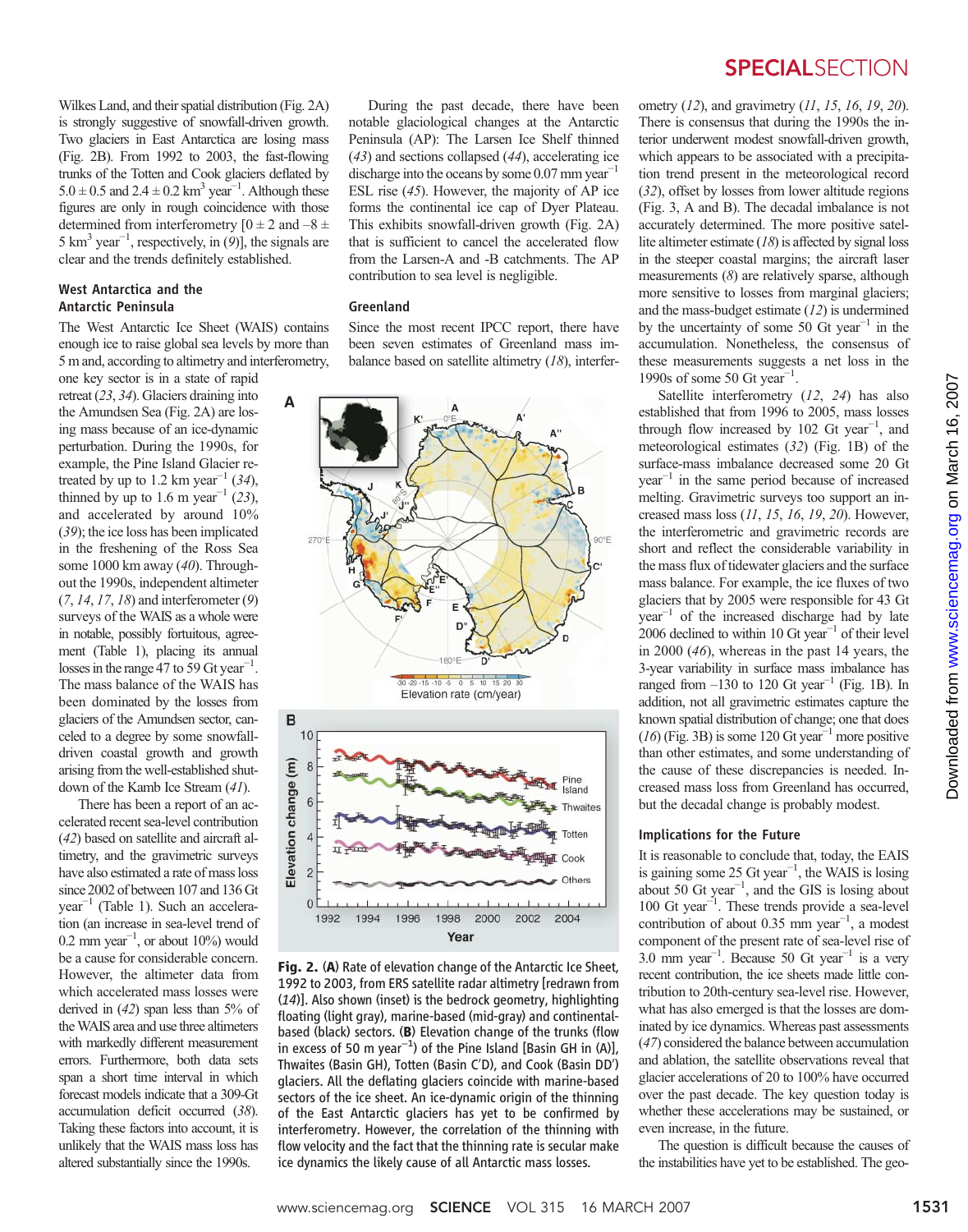Wilkes Land, and their spatial distribution (Fig. 2A) is strongly suggestive of snowfall-driven growth. Two glaciers in East Antarctica are losing mass (Fig. 2B). From 1992 to 2003, the fast-flowing trunks of the Totten and Cook glaciers deflated by 5.0 ± 0.5 and 2.4 ± 0.2 km<sup>3</sup> year<sup>-1</sup>. Although these figures are only in rough coincidence with those determined from interferometry  $[0 \pm 2$  and  $-8 \pm 1$ 5 km<sup>3</sup> year<sup>-1</sup>, respectively, in (9)], the signals are clear and the trends definitely established.

#### West Antarctica and the Antarctic Peninsula

The West Antarctic Ice Sheet (WAIS) contains enough ice to raise global sea levels by more than 5 m and, according to altimetry and interferometry,

one key sector is in a state of rapid retreat (23, 34). Glaciers draining into the Amundsen Sea (Fig. 2A) are losing mass because of an ice-dynamic perturbation. During the 1990s, for example, the Pine Island Glacier retreated by up to 1.2 km year<sup>-1</sup> (34), thinned by up to 1.6 m year<sup>-1</sup> (23), and accelerated by around 10% (39); the ice loss has been implicated in the freshening of the Ross Sea some 1000 km away (40). Throughout the 1990s, independent altimeter  $(7, 14, 17, 18)$  and interferometer  $(9)$ surveys of the WAIS as a whole were in notable, possibly fortuitous, agreement (Table 1), placing its annual losses in the range  $47$  to 59 Gt year<sup>-1</sup>. The mass balance of the WAIS has been dominated by the losses from glaciers of the Amundsen sector, canceled to a degree by some snowfalldriven coastal growth and growth arising from the well-established shutdown of the Kamb Ice Stream (41).

There has been a report of an accelerated recent sea-level contribution (42) based on satellite and aircraft altimetry, and the gravimetric surveys have also estimated a rate of mass loss since 2002 of between 107 and 136 Gt year−<sup>1</sup> (Table 1). Such an acceleration (an increase in sea-level trend of 0.2 mm year<sup> $-1$ </sup>, or about 10%) would be a cause for considerable concern. However, the altimeter data from which accelerated mass losses were derived in  $(42)$  span less than  $5\%$  of the WAIS area and use three altimeters with markedly different measurement errors. Furthermore, both data sets span a short time interval in which forecast models indicate that a 309-Gt accumulation deficit occurred (38). Taking these factors into account, it is unlikely that the WAIS mass loss has altered substantially since the 1990s.

During the past decade, there have been notable glaciological changes at the Antarctic Peninsula (AP): The Larsen Ice Shelf thinned (43) and sections collapsed (44), accelerating ice discharge into the oceans by some  $0.07$  mm year<sup>-1</sup> ESL rise (45). However, the majority of AP ice forms the continental ice cap of Dyer Plateau. This exhibits snowfall-driven growth (Fig. 2A) that is sufficient to cancel the accelerated flow from the Larsen-A and -B catchments. The AP contribution to sea level is negligible.

#### Greenland

Since the most recent IPCC report, there have been seven estimates of Greenland mass imbalance based on satellite altimetry (18), interfer-



Fig. 2. (A) Rate of elevation change of the Antarctic Ice Sheet, 1992 to 2003, from ERS satellite radar altimetry [redrawn from (14)]. Also shown (inset) is the bedrock geometry, highlighting floating (light gray), marine-based (mid-gray) and continentalbased (black) sectors. (B) Elevation change of the trunks (flow in excess of 50 m year*−*<sup>1</sup> ) of the Pine Island [Basin GH in (A)], Thwaites (Basin GH), Totten (Basin C′D), and Cook (Basin DD′) glaciers. All the deflating glaciers coincide with marine-based sectors of the ice sheet. An ice-dynamic origin of the thinning of the East Antarctic glaciers has yet to be confirmed by interferometry. However, the correlation of the thinning with flow velocity and the fact that the thinning rate is secular make ice dynamics the likely cause of all Antarctic mass losses.

### **SPECIALSECTION**

ometry  $(12)$ , and gravimetry  $(11, 15, 16, 19, 20)$ . There is consensus that during the 1990s the interior underwent modest snowfall-driven growth, which appears to be associated with a precipitation trend present in the meteorological record (32), offset by losses from lower altitude regions (Fig. 3, A and B). The decadal imbalance is not accurately determined. The more positive satellite altimeter estimate  $(18)$  is affected by signal loss in the steeper coastal margins; the aircraft laser measurements (8) are relatively sparse, although more sensitive to losses from marginal glaciers; and the mass-budget estimate (12) is undermined by the uncertainty of some 50 Gt year<sup>-1</sup> in the accumulation. Nonetheless, the consensus of these measurements suggests a net loss in the 1990s of some 50 Gt year<sup>-1</sup>.

Satellite interferometry (12, 24) has also established that from 1996 to 2005, mass losses through flow increased by 102 Gt year<sup>-1</sup>, and meteorological estimates (32) (Fig. 1B) of the surface-mass imbalance decreased some 20 Gt year−<sup>1</sup> in the same period because of increased melting. Gravimetric surveys too support an increased mass loss (11, 15, 16, 19, 20). However, the interferometric and gravimetric records are short and reflect the considerable variability in the mass flux of tidewater glaciers and the surface mass balance. For example, the ice fluxes of two glaciers that by 2005 were responsible for 43 Gt year−<sup>1</sup> of the increased discharge had by late 2006 declined to within 10 Gt year<sup> $-1$ </sup> of their level in 2000 (46), whereas in the past 14 years, the 3-year variability in surface mass imbalance has ranged from  $-130$  to 120 Gt year<sup>-1</sup> (Fig. 1B). In addition, not all gravimetric estimates capture the known spatial distribution of change; one that does  $(16)$  (Fig. 3B) is some 120 Gt year<sup>-1</sup> more positive than other estimates, and some understanding of the cause of these discrepancies is needed. Increased mass loss from Greenland has occurred, but the decadal change is probably modest.

#### Implications for the Future

It is reasonable to conclude that, today, the EAIS is gaining some 25 Gt year<sup>-1</sup>, the WAIS is losing about 50 Gt year<sup>-1</sup>, and the GIS is losing about 100 Gt year−<sup>1</sup> . These trends provide a sea-level contribution of about 0.35 mm year−<sup>1</sup> , a modest component of the present rate of sea-level rise of 3.0 mm year−<sup>1</sup> . Because 50 Gt year−<sup>1</sup> is a very recent contribution, the ice sheets made little contribution to 20th-century sea-level rise. However, what has also emerged is that the losses are dominated by ice dynamics. Whereas past assessments (47) considered the balance between accumulation and ablation, the satellite observations reveal that glacier accelerations of 20 to 100% have occurred over the past decade. The key question today is whether these accelerations may be sustained, or even increase, in the future.

The question is difficult because the causes of the instabilities have yet to be established. The geo-